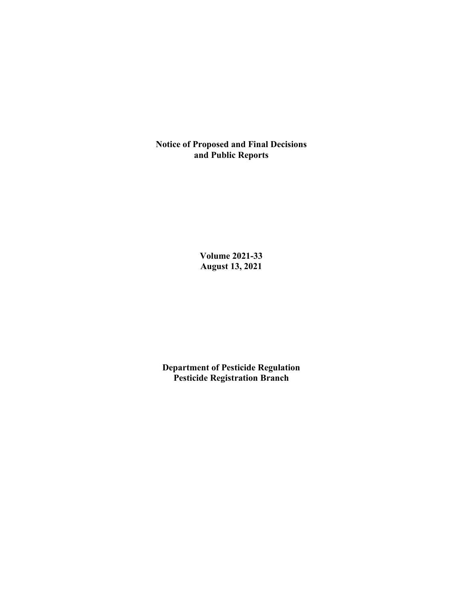**Notice of Proposed and Final Decisions and Public Reports**

> **Volume 2021-33 August 13, 2021**

**Department of Pesticide Regulation Pesticide Registration Branch**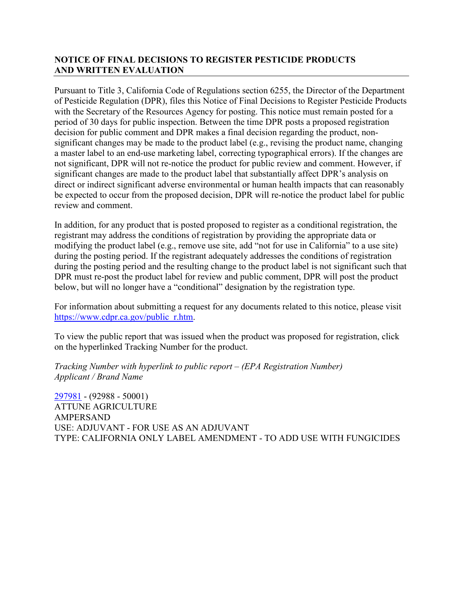## **NOTICE OF FINAL DECISIONS TO REGISTER PESTICIDE PRODUCTS AND WRITTEN EVALUATION**

Pursuant to Title 3, California Code of Regulations section 6255, the Director of the Department of Pesticide Regulation (DPR), files this Notice of Final Decisions to Register Pesticide Products with the Secretary of the Resources Agency for posting. This notice must remain posted for a period of 30 days for public inspection. Between the time DPR posts a proposed registration decision for public comment and DPR makes a final decision regarding the product, nonsignificant changes may be made to the product label (e.g., revising the product name, changing a master label to an end-use marketing label, correcting typographical errors). If the changes are not significant, DPR will not re-notice the product for public review and comment. However, if significant changes are made to the product label that substantially affect DPR's analysis on direct or indirect significant adverse environmental or human health impacts that can reasonably be expected to occur from the proposed decision, DPR will re-notice the product label for public review and comment.

In addition, for any product that is posted proposed to register as a conditional registration, the registrant may address the conditions of registration by providing the appropriate data or modifying the product label (e.g., remove use site, add "not for use in California" to a use site) during the posting period. If the registrant adequately addresses the conditions of registration during the posting period and the resulting change to the product label is not significant such that DPR must re-post the product label for review and public comment, DPR will post the product below, but will no longer have a "conditional" designation by the registration type.

For information about submitting a request for any documents related to this notice, please visit [https://www.cdpr.ca.gov/public\\_r.htm.](https://www.cdpr.ca.gov/public_r.htm)

To view the public report that was issued when the product was proposed for registration, click on the hyperlinked Tracking Number for the product.

*Tracking Number with hyperlink to public report – (EPA Registration Number) Applicant / Brand Name*

[297981](https://www.cdpr.ca.gov/docs/registration/nod/public_reports/297981.pdf) - (92988 - 50001) ATTUNE AGRICULTURE AMPERSAND USE: ADJUVANT - FOR USE AS AN ADJUVANT TYPE: CALIFORNIA ONLY LABEL AMENDMENT - TO ADD USE WITH FUNGICIDES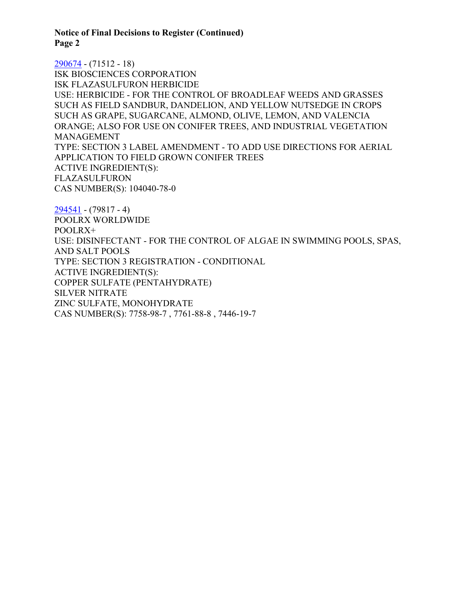**Notice of Final Decisions to Register (Continued) Page 2**

[290674](https://www.cdpr.ca.gov/docs/registration/nod/public_reports/290674.pdf) - (71512 - 18) ISK BIOSCIENCES CORPORATION ISK FLAZASULFURON HERBICIDE USE: HERBICIDE - FOR THE CONTROL OF BROADLEAF WEEDS AND GRASSES SUCH AS FIELD SANDBUR, DANDELION, AND YELLOW NUTSEDGE IN CROPS SUCH AS GRAPE, SUGARCANE, ALMOND, OLIVE, LEMON, AND VALENCIA ORANGE; ALSO FOR USE ON CONIFER TREES, AND INDUSTRIAL VEGETATION MANAGEMENT TYPE: SECTION 3 LABEL AMENDMENT - TO ADD USE DIRECTIONS FOR AERIAL APPLICATION TO FIELD GROWN CONIFER TREES ACTIVE INGREDIENT(S): FLAZASULFURON CAS NUMBER(S): 104040-78-0

[294541](https://www.cdpr.ca.gov/docs/registration/nod/public_reports/294541.pdf) - (79817 - 4) POOLRX WORLDWIDE POOLRX+ USE: DISINFECTANT - FOR THE CONTROL OF ALGAE IN SWIMMING POOLS, SPAS, AND SALT POOLS TYPE: SECTION 3 REGISTRATION - CONDITIONAL ACTIVE INGREDIENT(S): COPPER SULFATE (PENTAHYDRATE) SILVER NITRATE ZINC SULFATE, MONOHYDRATE CAS NUMBER(S): 7758-98-7 , 7761-88-8 , 7446-19-7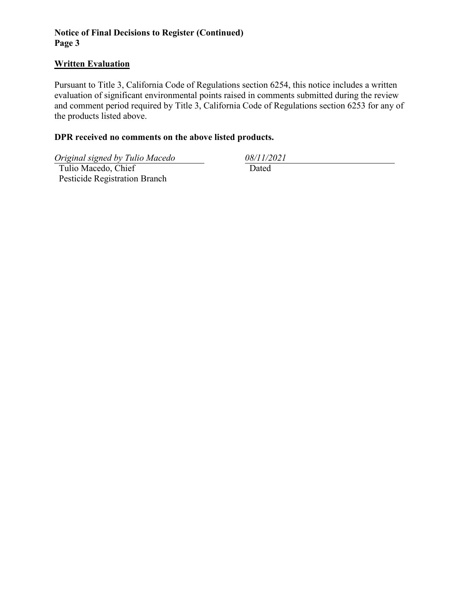## **Notice of Final Decisions to Register (Continued) Page 3**

#### **Written Evaluation**

Pursuant to Title 3, California Code of Regulations section 6254, this notice includes a written evaluation of significant environmental points raised in comments submitted during the review and comment period required by Title 3, California Code of Regulations section 6253 for any of the products listed above.

## **DPR received no comments on the above listed products.**

*Original signed by Tulio Macedo 08/11/2021*

 Tulio Macedo, Chief Pesticide Registration Branch Dated